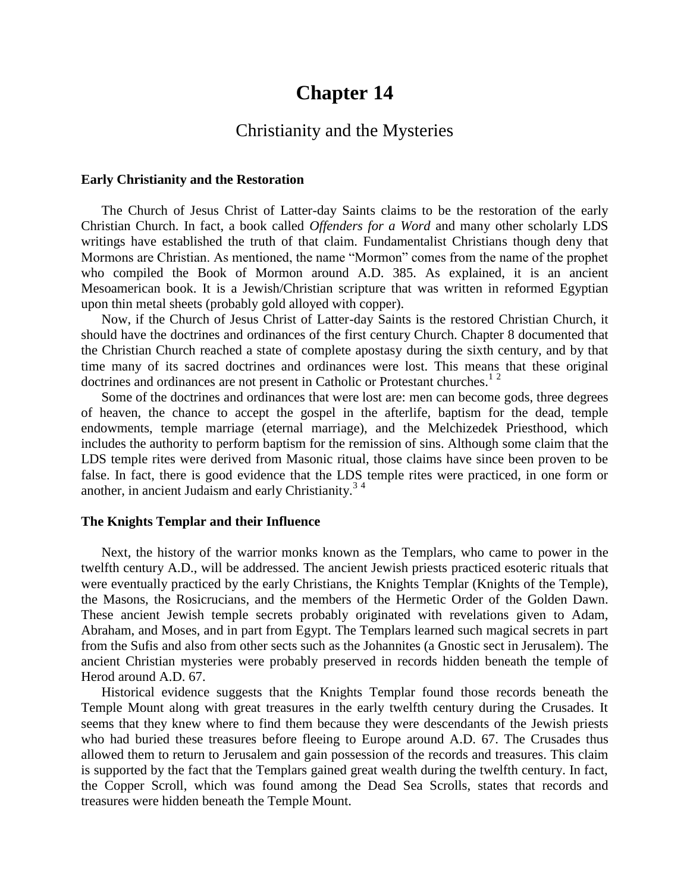# **Chapter 14**

# Christianity and the Mysteries

## **Early Christianity and the Restoration**

The Church of Jesus Christ of Latter-day Saints claims to be the restoration of the early Christian Church. In fact, a book called *Offenders for a Word* and many other scholarly LDS writings have established the truth of that claim. Fundamentalist Christians though deny that Mormons are Christian. As mentioned, the name "Mormon" comes from the name of the prophet who compiled the Book of Mormon around A.D. 385. As explained, it is an ancient Mesoamerican book. It is a Jewish/Christian scripture that was written in reformed Egyptian upon thin metal sheets (probably gold alloyed with copper).

Now, if the Church of Jesus Christ of Latter-day Saints is the restored Christian Church, it should have the doctrines and ordinances of the first century Church. Chapter 8 documented that the Christian Church reached a state of complete apostasy during the sixth century, and by that time many of its sacred doctrines and ordinances were lost. This means that these original doctrines and ordinances are not present in Catholic or Protestant churches.<sup>12</sup>

Some of the doctrines and ordinances that were lost are: men can become gods, three degrees of heaven, the chance to accept the gospel in the afterlife, baptism for the dead, temple endowments, temple marriage (eternal marriage), and the Melchizedek Priesthood, which includes the authority to perform baptism for the remission of sins. Although some claim that the LDS temple rites were derived from Masonic ritual, those claims have since been proven to be false. In fact, there is good evidence that the LDS temple rites were practiced, in one form or another, in ancient Judaism and early Christianity. $3<sup>4</sup>$ 

### **The Knights Templar and their Influence**

Next, the history of the warrior monks known as the Templars, who came to power in the twelfth century A.D., will be addressed. The ancient Jewish priests practiced esoteric rituals that were eventually practiced by the early Christians, the Knights Templar (Knights of the Temple), the Masons, the Rosicrucians, and the members of the Hermetic Order of the Golden Dawn. These ancient Jewish temple secrets probably originated with revelations given to Adam, Abraham, and Moses, and in part from Egypt. The Templars learned such magical secrets in part from the Sufis and also from other sects such as the Johannites (a Gnostic sect in Jerusalem). The ancient Christian mysteries were probably preserved in records hidden beneath the temple of Herod around A.D. 67.

Historical evidence suggests that the Knights Templar found those records beneath the Temple Mount along with great treasures in the early twelfth century during the Crusades. It seems that they knew where to find them because they were descendants of the Jewish priests who had buried these treasures before fleeing to Europe around A.D. 67. The Crusades thus allowed them to return to Jerusalem and gain possession of the records and treasures. This claim is supported by the fact that the Templars gained great wealth during the twelfth century. In fact, the Copper Scroll, which was found among the Dead Sea Scrolls, states that records and treasures were hidden beneath the Temple Mount.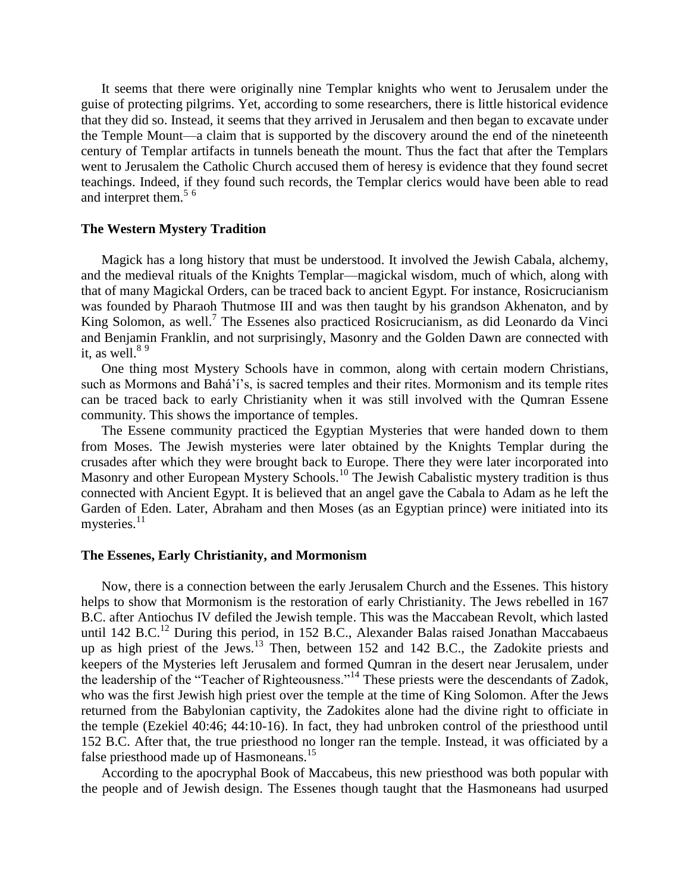It seems that there were originally nine Templar knights who went to Jerusalem under the guise of protecting pilgrims. Yet, according to some researchers, there is little historical evidence that they did so. Instead, it seems that they arrived in Jerusalem and then began to excavate under the Temple Mount—a claim that is supported by the discovery around the end of the nineteenth century of Templar artifacts in tunnels beneath the mount. Thus the fact that after the Templars went to Jerusalem the Catholic Church accused them of heresy is evidence that they found secret teachings. Indeed, if they found such records, the Templar clerics would have been able to read and interpret them.<sup>5 6</sup>

# **The Western Mystery Tradition**

Magick has a long history that must be understood. It involved the Jewish Cabala, alchemy, and the medieval rituals of the Knights Templar—magickal wisdom, much of which, along with that of many Magickal Orders, can be traced back to ancient Egypt. For instance, Rosicrucianism was founded by Pharaoh Thutmose III and was then taught by his grandson Akhenaton, and by King Solomon, as well. 7 The Essenes also practiced Rosicrucianism, as did Leonardo da Vinci and Benjamin Franklin, and not surprisingly, Masonry and the Golden Dawn are connected with it, as well. $89$ 

One thing most Mystery Schools have in common, along with certain modern Christians, such as Mormons and Bahá'í's, is sacred temples and their rites. Mormonism and its temple rites can be traced back to early Christianity when it was still involved with the Qumran Essene community. This shows the importance of temples.

The Essene community practiced the Egyptian Mysteries that were handed down to them from Moses. The Jewish mysteries were later obtained by the Knights Templar during the crusades after which they were brought back to Europe. There they were later incorporated into Masonry and other European Mystery Schools.<sup>10</sup> The Jewish Cabalistic mystery tradition is thus connected with Ancient Egypt. It is believed that an angel gave the Cabala to Adam as he left the Garden of Eden. Later, Abraham and then Moses (as an Egyptian prince) were initiated into its mysteries. $^{11}$ 

#### **The Essenes, Early Christianity, and Mormonism**

Now, there is a connection between the early Jerusalem Church and the Essenes. This history helps to show that Mormonism is the restoration of early Christianity. The Jews rebelled in 167 B.C. after Antiochus IV defiled the Jewish temple. This was the Maccabean Revolt, which lasted until 142 B.C.<sup>12</sup> During this period, in 152 B.C., Alexander Balas raised Jonathan Maccabaeus up as high priest of the Jews.<sup>13</sup> Then, between 152 and 142 B.C., the Zadokite priests and keepers of the Mysteries left Jerusalem and formed Qumran in the desert near Jerusalem, under the leadership of the "Teacher of Righteousness."<sup>14</sup> These priests were the descendants of Zadok, who was the first Jewish high priest over the temple at the time of King Solomon. After the Jews returned from the Babylonian captivity, the Zadokites alone had the divine right to officiate in the temple (Ezekiel 40:46; 44:10-16). In fact, they had unbroken control of the priesthood until 152 B.C. After that, the true priesthood no longer ran the temple. Instead, it was officiated by a false priesthood made up of Hasmoneans.<sup>15</sup>

According to the apocryphal Book of Maccabeus, this new priesthood was both popular with the people and of Jewish design. The Essenes though taught that the Hasmoneans had usurped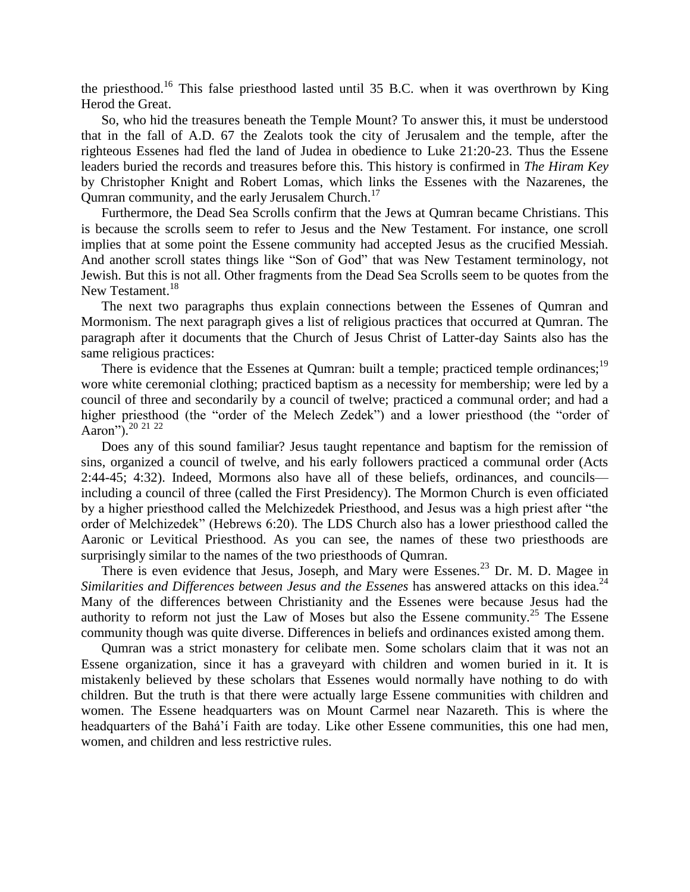the priesthood.<sup>16</sup> This false priesthood lasted until 35 B.C. when it was overthrown by King Herod the Great.

So, who hid the treasures beneath the Temple Mount? To answer this, it must be understood that in the fall of A.D. 67 the Zealots took the city of Jerusalem and the temple, after the righteous Essenes had fled the land of Judea in obedience to Luke 21:20-23. Thus the Essene leaders buried the records and treasures before this. This history is confirmed in *The Hiram Key* by Christopher Knight and Robert Lomas, which links the Essenes with the Nazarenes, the Qumran community, and the early Jerusalem Church.<sup>17</sup>

Furthermore, the Dead Sea Scrolls confirm that the Jews at Qumran became Christians. This is because the scrolls seem to refer to Jesus and the New Testament. For instance, one scroll implies that at some point the Essene community had accepted Jesus as the crucified Messiah. And another scroll states things like "Son of God" that was New Testament terminology, not Jewish. But this is not all. Other fragments from the Dead Sea Scrolls seem to be quotes from the New Testament.<sup>18</sup>

The next two paragraphs thus explain connections between the Essenes of Qumran and Mormonism. The next paragraph gives a list of religious practices that occurred at Qumran. The paragraph after it documents that the Church of Jesus Christ of Latter-day Saints also has the same religious practices:

There is evidence that the Essenes at Qumran: built a temple; practiced temple ordinances;<sup>19</sup> wore white ceremonial clothing; practiced baptism as a necessity for membership; were led by a council of three and secondarily by a council of twelve; practiced a communal order; and had a higher priesthood (the "order of the Melech Zedek") and a lower priesthood (the "order of Aaron").<sup>20</sup> <sup>21</sup> <sup>22</sup>

Does any of this sound familiar? Jesus taught repentance and baptism for the remission of sins, organized a council of twelve, and his early followers practiced a communal order (Acts 2:44-45; 4:32). Indeed, Mormons also have all of these beliefs, ordinances, and councils including a council of three (called the First Presidency). The Mormon Church is even officiated by a higher priesthood called the Melchizedek Priesthood, and Jesus was a high priest after "the order of Melchizedek" (Hebrews 6:20). The LDS Church also has a lower priesthood called the Aaronic or Levitical Priesthood. As you can see, the names of these two priesthoods are surprisingly similar to the names of the two priesthoods of Qumran.

There is even evidence that Jesus, Joseph, and Mary were Essenes.<sup>23</sup> Dr. M. D. Magee in Similarities and Differences between Jesus and the Essenes has answered attacks on this idea.<sup>24</sup> Many of the differences between Christianity and the Essenes were because Jesus had the authority to reform not just the Law of Moses but also the Essene community.<sup>25</sup> The Essene community though was quite diverse. Differences in beliefs and ordinances existed among them.

Qumran was a strict monastery for celibate men. Some scholars claim that it was not an Essene organization, since it has a graveyard with children and women buried in it. It is mistakenly believed by these scholars that Essenes would normally have nothing to do with children. But the truth is that there were actually large Essene communities with children and women. The Essene headquarters was on Mount Carmel near Nazareth. This is where the headquarters of the Bahá'í Faith are today. Like other Essene communities, this one had men, women, and children and less restrictive rules.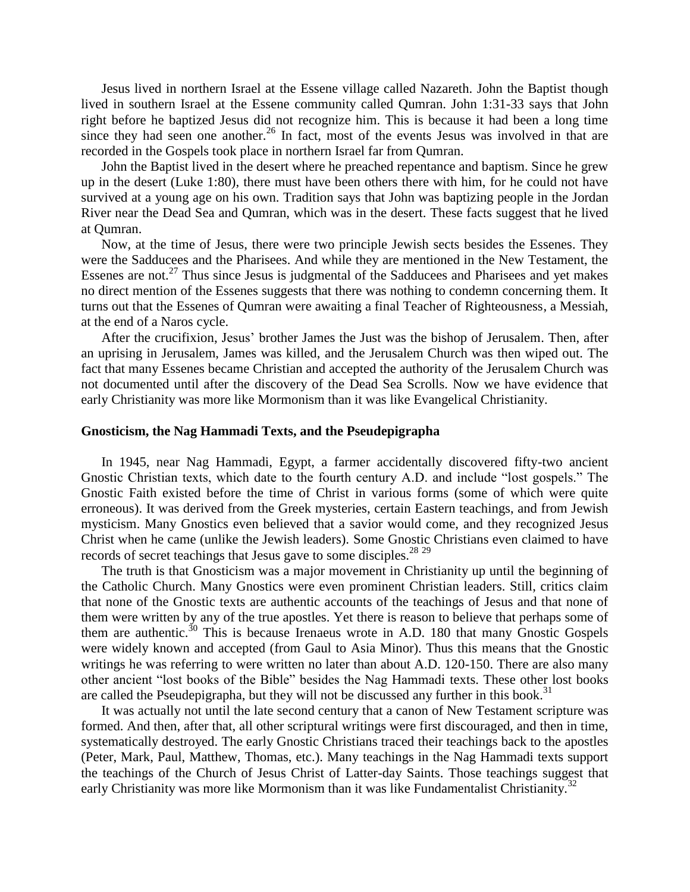Jesus lived in northern Israel at the Essene village called Nazareth. John the Baptist though lived in southern Israel at the Essene community called Qumran. John 1:31-33 says that John right before he baptized Jesus did not recognize him. This is because it had been a long time since they had seen one another.<sup>26</sup> In fact, most of the events Jesus was involved in that are recorded in the Gospels took place in northern Israel far from Qumran.

John the Baptist lived in the desert where he preached repentance and baptism. Since he grew up in the desert (Luke 1:80), there must have been others there with him, for he could not have survived at a young age on his own. Tradition says that John was baptizing people in the Jordan River near the Dead Sea and Qumran, which was in the desert. These facts suggest that he lived at Qumran.

Now, at the time of Jesus, there were two principle Jewish sects besides the Essenes. They were the Sadducees and the Pharisees. And while they are mentioned in the New Testament, the Essenes are not.<sup>27</sup> Thus since Jesus is judgmental of the Sadducees and Pharisees and yet makes no direct mention of the Essenes suggests that there was nothing to condemn concerning them. It turns out that the Essenes of Qumran were awaiting a final Teacher of Righteousness, a Messiah, at the end of a Naros cycle.

After the crucifixion, Jesus' brother James the Just was the bishop of Jerusalem. Then, after an uprising in Jerusalem, James was killed, and the Jerusalem Church was then wiped out. The fact that many Essenes became Christian and accepted the authority of the Jerusalem Church was not documented until after the discovery of the Dead Sea Scrolls. Now we have evidence that early Christianity was more like Mormonism than it was like Evangelical Christianity.

#### **Gnosticism, the Nag Hammadi Texts, and the Pseudepigrapha**

In 1945, near Nag Hammadi, Egypt, a farmer accidentally discovered fifty-two ancient Gnostic Christian texts, which date to the fourth century A.D. and include "lost gospels." The Gnostic Faith existed before the time of Christ in various forms (some of which were quite erroneous). It was derived from the Greek mysteries, certain Eastern teachings, and from Jewish mysticism. Many Gnostics even believed that a savior would come, and they recognized Jesus Christ when he came (unlike the Jewish leaders). Some Gnostic Christians even claimed to have records of secret teachings that Jesus gave to some disciples.<sup>28</sup><sup>29</sup>

The truth is that Gnosticism was a major movement in Christianity up until the beginning of the Catholic Church. Many Gnostics were even prominent Christian leaders. Still, critics claim that none of the Gnostic texts are authentic accounts of the teachings of Jesus and that none of them were written by any of the true apostles. Yet there is reason to believe that perhaps some of them are authentic. $30$  This is because Irenaeus wrote in A.D. 180 that many Gnostic Gospels were widely known and accepted (from Gaul to Asia Minor). Thus this means that the Gnostic writings he was referring to were written no later than about A.D. 120-150. There are also many other ancient "lost books of the Bible" besides the Nag Hammadi texts. These other lost books are called the Pseudepigrapha, but they will not be discussed any further in this book.<sup>31</sup>

It was actually not until the late second century that a canon of New Testament scripture was formed. And then, after that, all other scriptural writings were first discouraged, and then in time, systematically destroyed. The early Gnostic Christians traced their teachings back to the apostles (Peter, Mark, Paul, Matthew, Thomas, etc.). Many teachings in the Nag Hammadi texts support the teachings of the Church of Jesus Christ of Latter-day Saints. Those teachings suggest that early Christianity was more like Mormonism than it was like Fundamentalist Christianity.<sup>32</sup>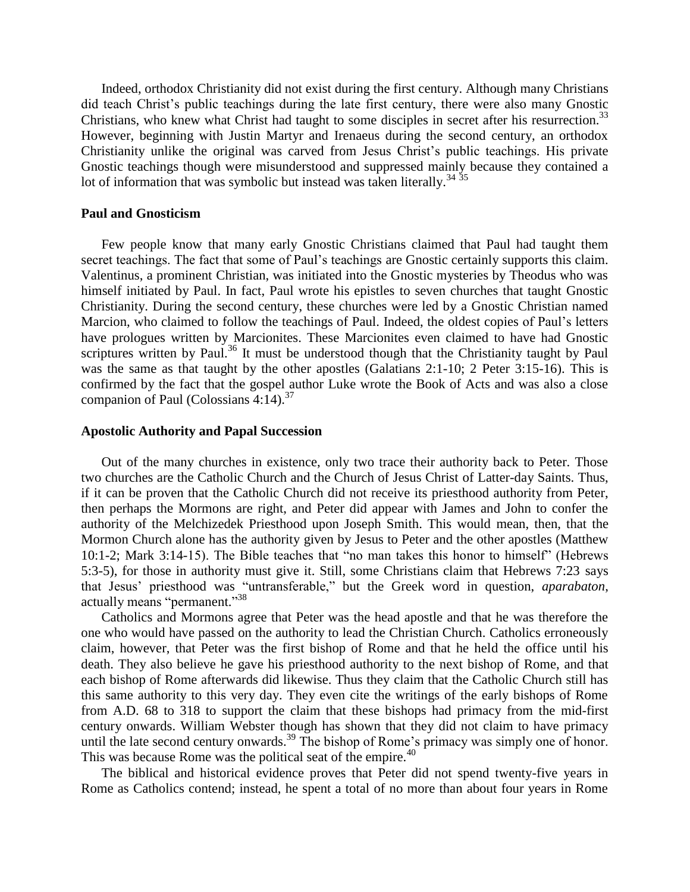Indeed, orthodox Christianity did not exist during the first century. Although many Christians did teach Christ's public teachings during the late first century, there were also many Gnostic Christians, who knew what Christ had taught to some disciples in secret after his resurrection.<sup>33</sup> However, beginning with Justin Martyr and Irenaeus during the second century, an orthodox Christianity unlike the original was carved from Jesus Christ's public teachings. His private Gnostic teachings though were misunderstood and suppressed mainly because they contained a lot of information that was symbolic but instead was taken literally.<sup>34 35</sup>

#### **Paul and Gnosticism**

Few people know that many early Gnostic Christians claimed that Paul had taught them secret teachings. The fact that some of Paul's teachings are Gnostic certainly supports this claim. Valentinus, a prominent Christian, was initiated into the Gnostic mysteries by Theodus who was himself initiated by Paul. In fact, Paul wrote his epistles to seven churches that taught Gnostic Christianity. During the second century, these churches were led by a Gnostic Christian named Marcion, who claimed to follow the teachings of Paul. Indeed, the oldest copies of Paul's letters have prologues written by Marcionites. These Marcionites even claimed to have had Gnostic scriptures written by Paul.<sup>36</sup> It must be understood though that the Christianity taught by Paul was the same as that taught by the other apostles (Galatians 2:1-10; 2 Peter 3:15-16). This is confirmed by the fact that the gospel author Luke wrote the Book of Acts and was also a close companion of Paul (Colossians  $4:14$ ).<sup>37</sup>

## **Apostolic Authority and Papal Succession**

Out of the many churches in existence, only two trace their authority back to Peter. Those two churches are the Catholic Church and the Church of Jesus Christ of Latter-day Saints. Thus, if it can be proven that the Catholic Church did not receive its priesthood authority from Peter, then perhaps the Mormons are right, and Peter did appear with James and John to confer the authority of the Melchizedek Priesthood upon Joseph Smith. This would mean, then, that the Mormon Church alone has the authority given by Jesus to Peter and the other apostles (Matthew 10:1-2; Mark 3:14-15). The Bible teaches that "no man takes this honor to himself" (Hebrews 5:3-5), for those in authority must give it. Still, some Christians claim that Hebrews 7:23 says that Jesus' priesthood was "untransferable," but the Greek word in question, *aparabaton*, actually means "permanent."<sup>38</sup>

Catholics and Mormons agree that Peter was the head apostle and that he was therefore the one who would have passed on the authority to lead the Christian Church. Catholics erroneously claim, however, that Peter was the first bishop of Rome and that he held the office until his death. They also believe he gave his priesthood authority to the next bishop of Rome, and that each bishop of Rome afterwards did likewise. Thus they claim that the Catholic Church still has this same authority to this very day. They even cite the writings of the early bishops of Rome from A.D. 68 to 318 to support the claim that these bishops had primacy from the mid-first century onwards. William Webster though has shown that they did not claim to have primacy until the late second century onwards.<sup>39</sup> The bishop of Rome's primacy was simply one of honor. This was because Rome was the political seat of the empire.<sup>40</sup>

The biblical and historical evidence proves that Peter did not spend twenty-five years in Rome as Catholics contend; instead, he spent a total of no more than about four years in Rome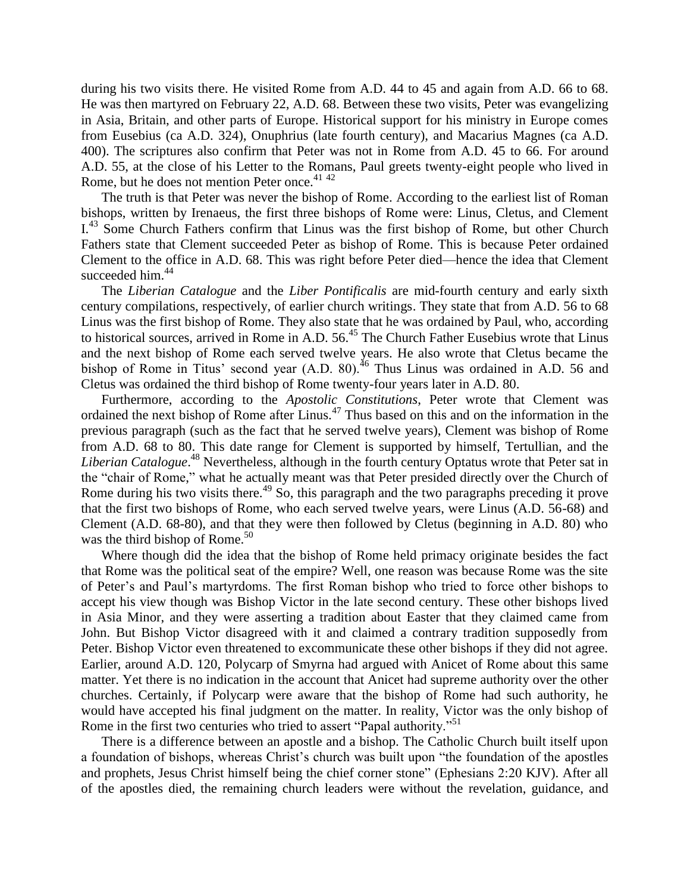during his two visits there. He visited Rome from A.D. 44 to 45 and again from A.D. 66 to 68. He was then martyred on February 22, A.D. 68. Between these two visits, Peter was evangelizing in Asia, Britain, and other parts of Europe. Historical support for his ministry in Europe comes from Eusebius (ca A.D. 324), Onuphrius (late fourth century), and Macarius Magnes (ca A.D. 400). The scriptures also confirm that Peter was not in Rome from A.D. 45 to 66. For around A.D. 55, at the close of his Letter to the Romans, Paul greets twenty-eight people who lived in Rome, but he does not mention Peter once.<sup>41 42</sup>

The truth is that Peter was never the bishop of Rome. According to the earliest list of Roman bishops, written by Irenaeus, the first three bishops of Rome were: Linus, Cletus, and Clement  $I<sup>43</sup>$  Some Church Fathers confirm that Linus was the first bishop of Rome, but other Church Fathers state that Clement succeeded Peter as bishop of Rome. This is because Peter ordained Clement to the office in A.D. 68. This was right before Peter died—hence the idea that Clement succeeded him.<sup>44</sup>

The *Liberian Catalogue* and the *Liber Pontificalis* are mid-fourth century and early sixth century compilations, respectively, of earlier church writings. They state that from A.D. 56 to 68 Linus was the first bishop of Rome. They also state that he was ordained by Paul, who, according to historical sources, arrived in Rome in A.D. 56.<sup>45</sup> The Church Father Eusebius wrote that Linus and the next bishop of Rome each served twelve years. He also wrote that Cletus became the bishop of Rome in Titus' second year (A.D. 80).<sup>46</sup> Thus Linus was ordained in A.D. 56 and Cletus was ordained the third bishop of Rome twenty-four years later in A.D. 80.

Furthermore, according to the *Apostolic Constitutions*, Peter wrote that Clement was ordained the next bishop of Rome after Linus.<sup>47</sup> Thus based on this and on the information in the previous paragraph (such as the fact that he served twelve years), Clement was bishop of Rome from A.D. 68 to 80. This date range for Clement is supported by himself, Tertullian, and the Liberian Catalogue.<sup>48</sup> Nevertheless, although in the fourth century Optatus wrote that Peter sat in the "chair of Rome," what he actually meant was that Peter presided directly over the Church of Rome during his two visits there.<sup>49</sup> So, this paragraph and the two paragraphs preceding it prove that the first two bishops of Rome, who each served twelve years, were Linus (A.D. 56-68) and Clement (A.D. 68-80), and that they were then followed by Cletus (beginning in A.D. 80) who was the third bishop of Rome.<sup>50</sup>

Where though did the idea that the bishop of Rome held primacy originate besides the fact that Rome was the political seat of the empire? Well, one reason was because Rome was the site of Peter's and Paul's martyrdoms. The first Roman bishop who tried to force other bishops to accept his view though was Bishop Victor in the late second century. These other bishops lived in Asia Minor, and they were asserting a tradition about Easter that they claimed came from John. But Bishop Victor disagreed with it and claimed a contrary tradition supposedly from Peter. Bishop Victor even threatened to excommunicate these other bishops if they did not agree. Earlier, around A.D. 120, Polycarp of Smyrna had argued with Anicet of Rome about this same matter. Yet there is no indication in the account that Anicet had supreme authority over the other churches. Certainly, if Polycarp were aware that the bishop of Rome had such authority, he would have accepted his final judgment on the matter. In reality, Victor was the only bishop of Rome in the first two centuries who tried to assert "Papal authority."<sup>51</sup>

There is a difference between an apostle and a bishop. The Catholic Church built itself upon a foundation of bishops, whereas Christ's church was built upon "the foundation of the apostles and prophets, Jesus Christ himself being the chief corner stone" (Ephesians 2:20 KJV). After all of the apostles died, the remaining church leaders were without the revelation, guidance, and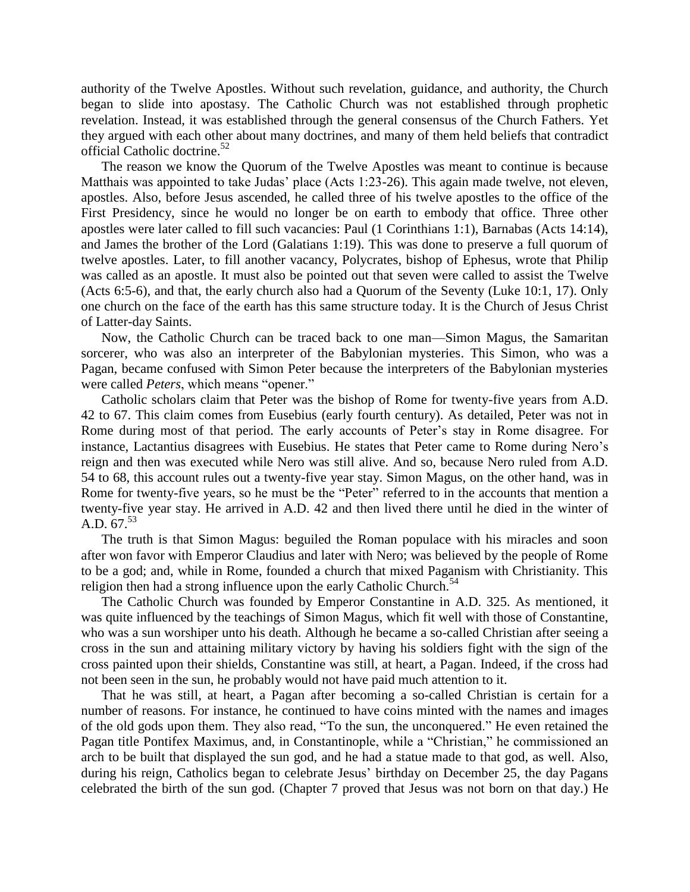authority of the Twelve Apostles. Without such revelation, guidance, and authority, the Church began to slide into apostasy. The Catholic Church was not established through prophetic revelation. Instead, it was established through the general consensus of the Church Fathers. Yet they argued with each other about many doctrines, and many of them held beliefs that contradict official Catholic doctrine. $52$ 

The reason we know the Quorum of the Twelve Apostles was meant to continue is because Matthais was appointed to take Judas' place (Acts 1:23-26). This again made twelve, not eleven, apostles. Also, before Jesus ascended, he called three of his twelve apostles to the office of the First Presidency, since he would no longer be on earth to embody that office. Three other apostles were later called to fill such vacancies: Paul (1 Corinthians 1:1), Barnabas (Acts 14:14), and James the brother of the Lord (Galatians 1:19). This was done to preserve a full quorum of twelve apostles. Later, to fill another vacancy, Polycrates, bishop of Ephesus, wrote that Philip was called as an apostle. It must also be pointed out that seven were called to assist the Twelve (Acts 6:5-6), and that, the early church also had a Quorum of the Seventy (Luke 10:1, 17). Only one church on the face of the earth has this same structure today. It is the Church of Jesus Christ of Latter-day Saints.

Now, the Catholic Church can be traced back to one man—Simon Magus, the Samaritan sorcerer, who was also an interpreter of the Babylonian mysteries. This Simon, who was a Pagan, became confused with Simon Peter because the interpreters of the Babylonian mysteries were called *Peters*, which means "opener."

Catholic scholars claim that Peter was the bishop of Rome for twenty-five years from A.D. 42 to 67. This claim comes from Eusebius (early fourth century). As detailed, Peter was not in Rome during most of that period. The early accounts of Peter's stay in Rome disagree. For instance, Lactantius disagrees with Eusebius. He states that Peter came to Rome during Nero's reign and then was executed while Nero was still alive. And so, because Nero ruled from A.D. 54 to 68, this account rules out a twenty-five year stay. Simon Magus, on the other hand, was in Rome for twenty-five years, so he must be the "Peter" referred to in the accounts that mention a twenty-five year stay. He arrived in A.D. 42 and then lived there until he died in the winter of A.D.  $67^{53}$ 

The truth is that Simon Magus: beguiled the Roman populace with his miracles and soon after won favor with Emperor Claudius and later with Nero; was believed by the people of Rome to be a god; and, while in Rome, founded a church that mixed Paganism with Christianity. This religion then had a strong influence upon the early Catholic Church.<sup>54</sup>

The Catholic Church was founded by Emperor Constantine in A.D. 325. As mentioned, it was quite influenced by the teachings of Simon Magus, which fit well with those of Constantine, who was a sun worshiper unto his death. Although he became a so-called Christian after seeing a cross in the sun and attaining military victory by having his soldiers fight with the sign of the cross painted upon their shields, Constantine was still, at heart, a Pagan. Indeed, if the cross had not been seen in the sun, he probably would not have paid much attention to it.

That he was still, at heart, a Pagan after becoming a so-called Christian is certain for a number of reasons. For instance, he continued to have coins minted with the names and images of the old gods upon them. They also read, "To the sun, the unconquered." He even retained the Pagan title Pontifex Maximus, and, in Constantinople, while a "Christian," he commissioned an arch to be built that displayed the sun god, and he had a statue made to that god, as well. Also, during his reign, Catholics began to celebrate Jesus' birthday on December 25, the day Pagans celebrated the birth of the sun god. (Chapter 7 proved that Jesus was not born on that day.) He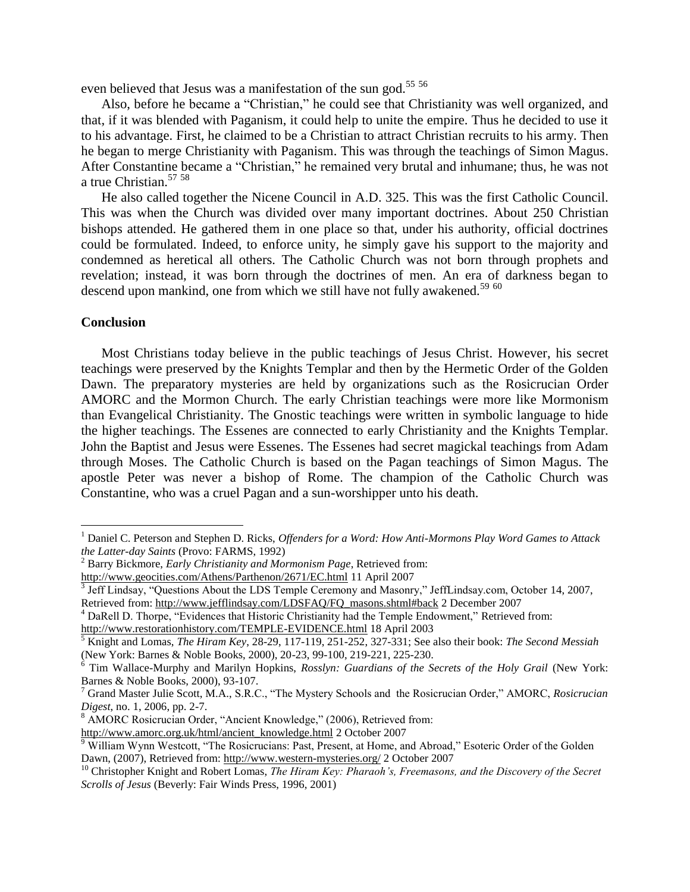even believed that Jesus was a manifestation of the sun god.<sup>55 56</sup>

Also, before he became a "Christian," he could see that Christianity was well organized, and that, if it was blended with Paganism, it could help to unite the empire. Thus he decided to use it to his advantage. First, he claimed to be a Christian to attract Christian recruits to his army. Then he began to merge Christianity with Paganism. This was through the teachings of Simon Magus. After Constantine became a "Christian," he remained very brutal and inhumane; thus, he was not a true Christian. 57 58

He also called together the Nicene Council in A.D. 325. This was the first Catholic Council. This was when the Church was divided over many important doctrines. About 250 Christian bishops attended. He gathered them in one place so that, under his authority, official doctrines could be formulated. Indeed, to enforce unity, he simply gave his support to the majority and condemned as heretical all others. The Catholic Church was not born through prophets and revelation; instead, it was born through the doctrines of men. An era of darkness began to descend upon mankind, one from which we still have not fully awakened.<sup>59 60</sup>

# **Conclusion**

 $\overline{a}$ 

Most Christians today believe in the public teachings of Jesus Christ. However, his secret teachings were preserved by the Knights Templar and then by the Hermetic Order of the Golden Dawn. The preparatory mysteries are held by organizations such as the Rosicrucian Order AMORC and the Mormon Church. The early Christian teachings were more like Mormonism than Evangelical Christianity. The Gnostic teachings were written in symbolic language to hide the higher teachings. The Essenes are connected to early Christianity and the Knights Templar. John the Baptist and Jesus were Essenes. The Essenes had secret magickal teachings from Adam through Moses. The Catholic Church is based on the Pagan teachings of Simon Magus. The apostle Peter was never a bishop of Rome. The champion of the Catholic Church was Constantine, who was a cruel Pagan and a sun-worshipper unto his death.

<sup>1</sup> Daniel C. Peterson and Stephen D. Ricks, *Offenders for a Word: How Anti-Mormons Play Word Games to Attack the Latter-day Saints* (Provo: FARMS, 1992)

<sup>2</sup> Barry Bickmore, *Early Christianity and Mormonism Page*, Retrieved from:

<http://www.geocities.com/Athens/Parthenon/2671/EC.html> 11 April 2007<br><sup>3</sup> Jeff Lindsay, "Questions About the LDS Temple Ceremony and Masonry," JeffLindsay.com, October 14, 2007, Retrieved from: [http://www.jefflindsay.com/LDSFAQ/FQ\\_masons.shtml#back](http://www.jefflindsay.com/LDSFAQ/FQ_masons.shtml#back) 2 December 2007

<sup>4</sup> DaRell D. Thorpe, "Evidences that Historic Christianity had the Temple Endowment," Retrieved from:

<http://www.restorationhistory.com/TEMPLE-EVIDENCE.html> 18 April 2003

<sup>5</sup> Knight and Lomas, *The Hiram Key*, 28-29, 117-119, 251-252, 327-331; See also their book: *The Second Messiah* (New York: Barnes & Noble Books, 2000), 20-23, 99-100, 219-221, 225-230.

<sup>6</sup> Tim Wallace-Murphy and Marilyn Hopkins, *Rosslyn: Guardians of the Secrets of the Holy Grail* (New York: Barnes & Noble Books, 2000), 93-107.

<sup>7</sup> Grand Master Julie Scott, M.A., S.R.C., "The Mystery Schools and the Rosicrucian Order," AMORC, *Rosicrucian Digest*, no. 1, 2006, pp. 2-7.

<sup>&</sup>lt;sup>8</sup> AMORC Rosicrucian Order, "Ancient Knowledge," (2006), Retrieved from:

[http://www.amorc.org.uk/html/ancient\\_knowledge.html](http://www.amorc.org.uk/html/ancient_knowledge.html) 2 October 2007

<sup>&</sup>lt;sup>9</sup> William Wynn Westcott, "The Rosicrucians: Past, Present, at Home, and Abroad," Esoteric Order of the Golden Dawn, (2007), Retrieved from:<http://www.western-mysteries.org/> 2 October 2007

<sup>&</sup>lt;sup>10</sup> Christopher Knight and Robert Lomas, *The Hiram Key: Pharaoh's, Freemasons, and the Discovery of the Secret Scrolls of Jesus* (Beverly: Fair Winds Press, 1996, 2001)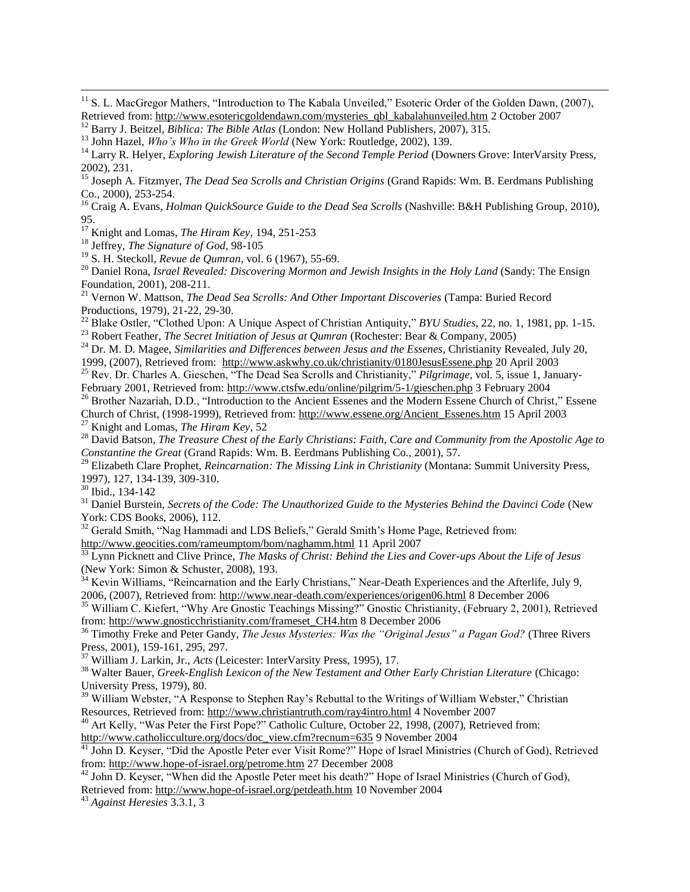<sup>11</sup> S. L. MacGregor Mathers, "Introduction to The Kabala Unveiled," Esoteric Order of the Golden Dawn, (2007), Retrieved from: [http://www.esotericgoldendawn.com/mysteries\\_qbl\\_kabalahunveiled.htm](http://www.esotericgoldendawn.com/mysteries_qbl_kabalahunveiled.htm) 2 October 2007

<sup>17</sup> Knight and Lomas, *The Hiram Key*, 194, 251-253

<sup>18</sup> Jeffrey, *The Signature of God*, 98-105

<sup>19</sup> S. H. Steckoll, *Revue de Qumran*, vol. 6 (1967), 55-69.

<sup>20</sup> Daniel Rona, *Israel Revealed: Discovering Mormon and Jewish Insights in the Holy Land* (Sandy: The Ensign Foundation, 2001), 208-211.

<sup>21</sup> Vernon W. Mattson, *The Dead Sea Scrolls: And Other Important Discoveries* (Tampa: Buried Record Productions, 1979), 21-22, 29-30.

<sup>22</sup> Blake Ostler, "Clothed Upon: A Unique Aspect of Christian Antiquity," *BYU Studies*, 22, no. 1, 1981, pp. 1-15.

<sup>23</sup> Robert Feather, *The Secret Initiation of Jesus at Qumran* (Rochester: Bear & Company, 2005)

<sup>24</sup> Dr. M. D. Magee, *Similarities and Differences between Jesus and the Essenes*, Christianity Revealed, July 20, 1999, (2007), Retrieved from: <http://www.askwhy.co.uk/christianity/0180JesusEssene.php> 20 April 2003

<sup>25</sup> Rev. Dr. Charles A. Gieschen, "The Dead Sea Scrolls and Christianity," *Pilgrimage*, vol. 5, issue 1, January-

February 2001, Retrieved from:<http://www.ctsfw.edu/online/pilgrim/5-1/gieschen.php> 3 February 2004

<sup>26</sup> Brother Nazariah, D.D., "Introduction to the Ancient Essenes and the Modern Essene Church of Christ*,*" Essene Church of Christ, (1998-1999), Retrieved from: [http://www.essene.org/Ancient\\_Essenes.htm](http://www.essene.org/Ancient_Essenes.htm) 15 April 2003

<sup>27</sup> Knight and Lomas, *The Hiram Key*, 52

<sup>28</sup> David Batson, *The Treasure Chest of the Early Christians: Faith, Care and Community from the Apostolic Age to Constantine the Great* (Grand Rapids: Wm. B. Eerdmans Publishing Co., 2001), 57.

<sup>29</sup> Elizabeth Clare Prophet, *Reincarnation: The Missing Link in Christianity* (Montana: Summit University Press, 1997), 127, 134-139, 309-310.

<sup>30</sup> Ibid., 134-142

 $\overline{a}$ 

<sup>31</sup> Daniel Burstein, *Secrets of the Code: The Unauthorized Guide to the Mysteries Behind the Davinci Code* (New York: CDS Books, 2006), 112.

<sup>32</sup> Gerald Smith, "Nag Hammadi and LDS Beliefs," Gerald Smith's Home Page, Retrieved from: <http://www.geocities.com/rameumptom/bom/naghamm.html> 11 April 2007

<sup>33</sup> Lynn Picknett and Clive Prince, *The Masks of Christ: Behind the Lies and Cover-ups About the Life of Jesus* (New York: Simon & Schuster, 2008), 193.

 $34$  Kevin Williams, "Reincarnation and the Early Christians," Near-Death Experiences and the Afterlife, July 9, 2006, (2007), Retrieved from:<http://www.near-death.com/experiences/origen06.html> 8 December 2006

<sup>35</sup> William C. Kiefert, "Why Are Gnostic Teachings Missing?" Gnostic Christianity, (February 2, 2001), Retrieved from[: http://www.gnosticchristianity.com/frameset\\_CH4.htm](http://www.gnosticchristianity.com/frameset_CH4.htm) 8 December 2006

<sup>36</sup> Timothy Freke and Peter Gandy, *The Jesus Mysteries: Was the "Original Jesus" a Pagan God?* (Three Rivers Press, 2001), 159-161, 295, 297.

<sup>37</sup> William J. Larkin, Jr., *Acts* (Leicester: InterVarsity Press, 1995), 17.

<sup>38</sup> Walter Bauer, *Greek-English Lexicon of the New Testament and Other Early Christian Literature* (Chicago: University Press, 1979), 80.

 $39$  William Webster, "A Response to Stephen Ray's Rebuttal to the Writings of William Webster," Christian Resources, Retrieved from:<http://www.christiantruth.com/ray4intro.html> 4 November 2007

<sup>40</sup> Art Kelly, "Was Peter the First Pope?" Catholic Culture, October 22, 1998, (2007), Retrieved from: [http://www.catholicculture.org/docs/doc\\_view.cfm?recnum=635](http://www.catholicculture.org/docs/doc_view.cfm?recnum=635) 9 November 2004

<sup>41</sup> John D. Keyser, "Did the Apostle Peter ever Visit Rome?" Hope of Israel Ministries (Church of God), Retrieved from[: http://www.hope-of-israel.org/petrome.htm](http://www.hope-of-israel.org/petrome.htm) 27 December 2008

<sup>42</sup> John D. Keyser, "When did the Apostle Peter meet his death?" Hope of Israel Ministries (Church of God),

Retrieved from:<http://www.hope-of-israel.org/petdeath.htm> 10 November 2004

<sup>43</sup> *Against Heresies* 3.3.1, 3

<sup>&</sup>lt;sup>12</sup> Barry J. Beitzel, *Biblica: The Bible Atlas* (London: New Holland Publishers, 2007), 315.

<sup>&</sup>lt;sup>13</sup> John Hazel, *Who's Who in the Greek World* (New York: Routledge, 2002), 139.

<sup>&</sup>lt;sup>14</sup> Larry R. Helyer, *Exploring Jewish Literature of the Second Temple Period* (Downers Grove: InterVarsity Press, 2002), 231.

<sup>15</sup> Joseph A. Fitzmyer, *The Dead Sea Scrolls and Christian Origins* (Grand Rapids: Wm. B. Eerdmans Publishing Co., 2000), 253-254.

<sup>&</sup>lt;sup>16</sup> Craig A. Evans, *Holman QuickSource Guide to the Dead Sea Scrolls* (Nashville: B&H Publishing Group, 2010), 95.